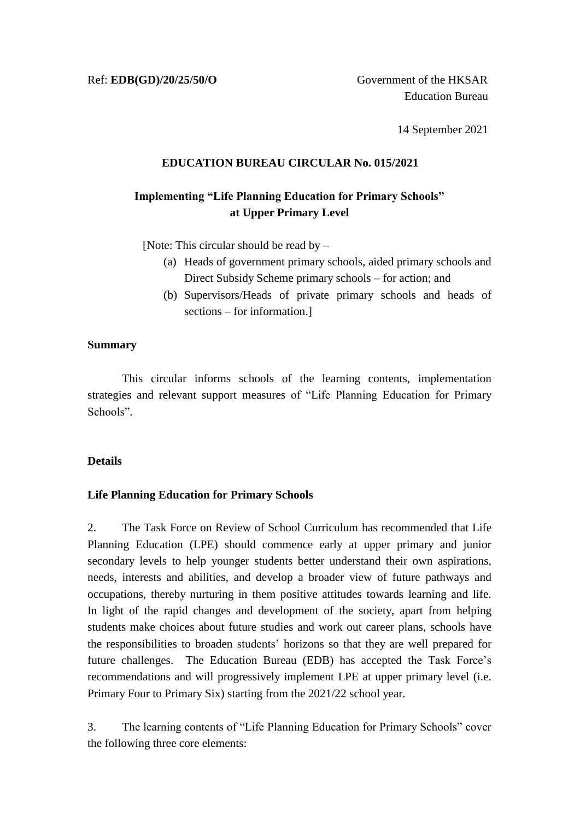14 September 2021

# **EDUCATION BUREAU CIRCULAR No. 015/2021**

# **Implementing "Life Planning Education for Primary Schools" at Upper Primary Level**

[Note: This circular should be read by –

- (a) Heads of government primary schools, aided primary schools and Direct Subsidy Scheme primary schools – for action; and
- (b) Supervisors/Heads of private primary schools and heads of sections – for information.]

# **Summary**

This circular informs schools of the learning contents, implementation strategies and relevant support measures of "Life Planning Education for Primary Schools".

# **Details**

# **Life Planning Education for Primary Schools**

2. The Task Force on Review of School Curriculum has recommended that Life Planning Education (LPE) should commence early at upper primary and junior secondary levels to help younger students better understand their own aspirations, needs, interests and abilities, and develop a broader view of future pathways and occupations, thereby nurturing in them positive attitudes towards learning and life. In light of the rapid changes and development of the society, apart from helping students make choices about future studies and work out career plans, schools have the responsibilities to broaden students' horizons so that they are well prepared for future challenges. The Education Bureau (EDB) has accepted the Task Force's recommendations and will progressively implement LPE at upper primary level (i.e. Primary Four to Primary Six) starting from the 2021/22 school year.

3. The learning contents of "Life Planning Education for Primary Schools" cover the following three core elements: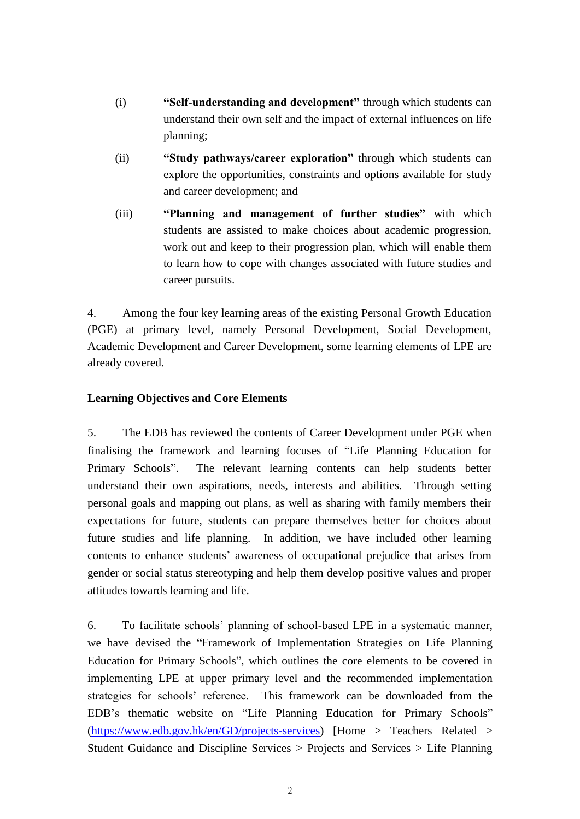- (i) **"Self-understanding and development"** through which students can understand their own self and the impact of external influences on life planning;
- (ii) **"Study pathways/career exploration"** through which students can explore the opportunities, constraints and options available for study and career development; and
- (iii) **"Planning and management of further studies"** with which students are assisted to make choices about academic progression, work out and keep to their progression plan, which will enable them to learn how to cope with changes associated with future studies and career pursuits.

4. Among the four key learning areas of the existing Personal Growth Education (PGE) at primary level, namely Personal Development, Social Development, Academic Development and Career Development, some learning elements of LPE are already covered.

# **Learning Objectives and Core Elements**

5. The EDB has reviewed the contents of Career Development under PGE when finalising the framework and learning focuses of "Life Planning Education for Primary Schools". The relevant learning contents can help students better understand their own aspirations, needs, interests and abilities. Through setting personal goals and mapping out plans, as well as sharing with family members their expectations for future, students can prepare themselves better for choices about future studies and life planning. In addition, we have included other learning contents to enhance students' awareness of occupational prejudice that arises from gender or social status stereotyping and help them develop positive values and proper attitudes towards learning and life.

6. To facilitate schools' planning of school-based LPE in a systematic manner, we have devised the "Framework of Implementation Strategies on Life Planning Education for Primary Schools", which outlines the core elements to be covered in implementing LPE at upper primary level and the recommended implementation strategies for schools' reference. This framework can be downloaded from the EDB's thematic website on "Life Planning Education for Primary Schools" [\(https://www.edb.gov.hk/en/GD/projects-services\)](https://www.edb.gov.hk/en/GD/projects-services) [Home > Teachers Related > Student Guidance and Discipline Services > Projects and Services > Life Planning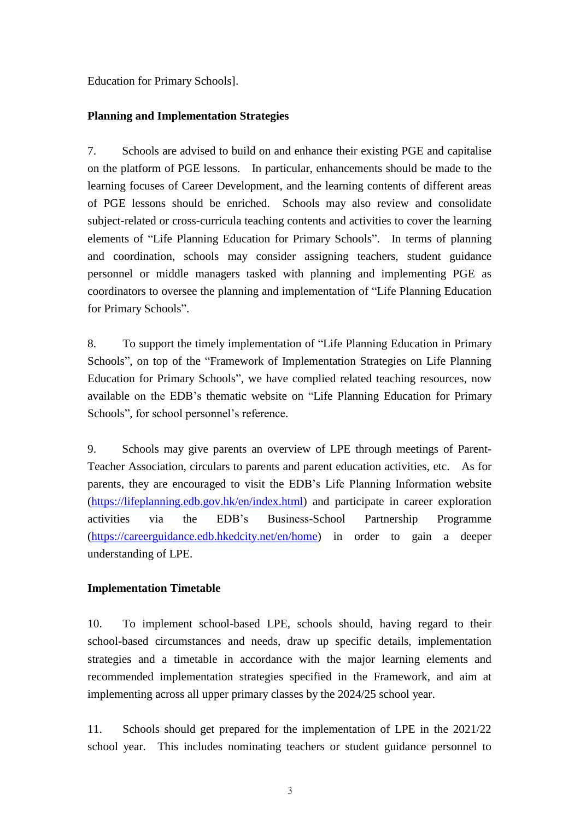Education for Primary Schools].

# **Planning and Implementation Strategies**

7. Schools are advised to build on and enhance their existing PGE and capitalise on the platform of PGE lessons. In particular, enhancements should be made to the learning focuses of Career Development, and the learning contents of different areas of PGE lessons should be enriched. Schools may also review and consolidate subject-related or cross-curricula teaching contents and activities to cover the learning elements of "Life Planning Education for Primary Schools". In terms of planning and coordination, schools may consider assigning teachers, student guidance personnel or middle managers tasked with planning and implementing PGE as coordinators to oversee the planning and implementation of "Life Planning Education for Primary Schools".

8. To support the timely implementation of "Life Planning Education in Primary Schools", on top of the "Framework of Implementation Strategies on Life Planning Education for Primary Schools", we have complied related teaching resources, now available on the EDB's thematic website on "Life Planning Education for Primary Schools", for school personnel's reference.

9. Schools may give parents an overview of LPE through meetings of Parent-Teacher Association, circulars to parents and parent education activities, etc. As for parents, they are encouraged to visit the EDB's Life Planning Information website [\(https://lifeplanning.edb.gov.hk/en/index.html\)](https://lifeplanning.edb.gov.hk/en/index.html) and participate in career exploration activities via the EDB's Business-School Partnership Programme [\(https://careerguidance.edb.hkedcity.net/en/home\)](https://careerguidance.edb.hkedcity.net/en/home) in order to gain a deeper understanding of LPE.

### **Implementation Timetable**

10. To implement school-based LPE, schools should, having regard to their school-based circumstances and needs, draw up specific details, implementation strategies and a timetable in accordance with the major learning elements and recommended implementation strategies specified in the Framework, and aim at implementing across all upper primary classes by the 2024/25 school year.

11. Schools should get prepared for the implementation of LPE in the 2021/22 school year. This includes nominating teachers or student guidance personnel to